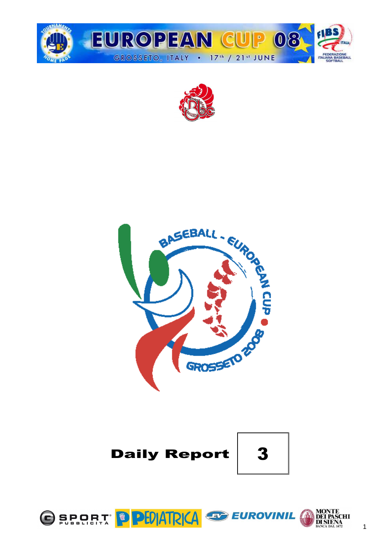







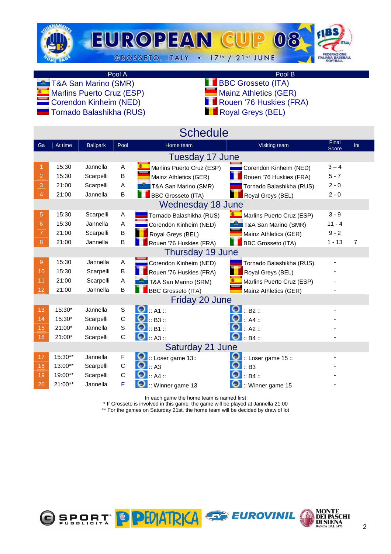

#### Pool A Pool B

Marlins Puerto Cruz (ESP)<br>Corendon Kinheim (NED)

Tornado Balashikha (RUS)

- **TAA San Marino (SMR)** BBC Grosseto (ITA)<br>
Marins Puerto Cruz (ESP) Mainz Athletics (GER)
	- **Corendon Transfilm Rouen Transfilm (NED)** Royal Greys (BEL)
		-
	-

|                |           |                 |             | <b>Schedule</b>               |                               |                |                |
|----------------|-----------|-----------------|-------------|-------------------------------|-------------------------------|----------------|----------------|
| Ga             | At time   | <b>Ballpark</b> | Pool        | Home team                     | Visiting team                 | Final<br>Score | Ini            |
|                |           |                 |             | Tuesday 17 June               |                               |                |                |
|                | 15:30     | Jannella        | A           | Marlins Puerto Cruz (ESP)     | Corendon Kinheim (NED)        | $3 - 4$        |                |
| $\overline{2}$ | 15:30     | Scarpelli       | B           | Mainz Athletics (GER)         | Rouen '76 Huskies (FRA)       | $5 - 7$        |                |
| 3              | 21:00     | Scarpelli       | Α           | <b>2</b> T&A San Marino (SMR) | Tornado Balashikha (RUS)      | $2 - 0$        |                |
| 4              | 21:00     | Jannella        | B           | <b>BBC Grosseto (ITA)</b>     | Royal Greys (BEL)             | $2 - 0$        |                |
|                |           |                 |             | <b>Wednesday 18 June</b>      |                               |                |                |
| 5              | 15:30     | Scarpelli       | Α           | Tornado Balashikha (RUS)      | Marlins Puerto Cruz (ESP)     | $3 - 9$        |                |
| 6              | 15:30     | Jannella        | A           | Corendon Kinheim (NED)        | <b>P</b> T&A San Marino (SMR) | $11 - 4$       |                |
| 7              | 21:00     | Scarpelli       | B           | Royal Greys (BEL)             | Mainz Athletics (GER)         | $9 - 2$        |                |
| 8              | 21:00     | Jannella        | B           | Rouen '76 Huskies (FRA)       | <b>BBC Grosseto (ITA)</b>     | $1 - 13$       | $\overline{7}$ |
|                |           |                 |             | Thursday 19 June              |                               |                |                |
| 9              | 15:30     | Jannella        | Α           | Corendon Kinheim (NED)        | Tornado Balashikha (RUS)      |                |                |
| 10             | 15:30     | Scarpelli       | B           | Rouen '76 Huskies (FRA)       | Royal Greys (BEL)             |                |                |
| 11             | 21:00     | Scarpelli       | A           | T&A San Marino (SRM)          | Marlins Puerto Cruz (ESP)     |                |                |
| 12             | 21:00     | Jannella        | B           | <b>BBC Grosseto (ITA)</b>     | Mainz Athletics (GER)         |                |                |
|                |           |                 |             | Friday 20 June                |                               |                |                |
| 13             | 15:30*    | Jannella        | $\mathbb S$ | $\bullet$ :: A1 ::            | $\bullet$ :: B2 ::            |                |                |
| 14             | 15:30*    | Scarpelli       | C           | 0<br>$\mathsf{L}$ : B3 ::     | $\therefore$ A4 $\therefore$  |                |                |
| 15             | 21:00*    | Jannella        | $\mathbf S$ | $\bullet$ :: B1 ::            | Θ<br>$::$ A2 $::$             |                |                |
| 16             | 21:00*    | Scarpelli       | C           | $\bullet$ : A3 ::             | $\therefore$ B4 $\therefore$  |                |                |
|                |           |                 |             | Saturday 21 June              |                               |                |                |
| 17             | 15:30**   | Jannella        | F           | Loser game 13::               | $::$ Loser game 15 ::         |                |                |
| 18             | 13:00**   | Scarpelli       | $\mathsf C$ | $\bullet$ : A3                | Θ<br>$\mathbf{E}$ : B3        |                |                |
| 19             | 19:00**   | Scarpelli       | C           | $\therefore$ A4 $\therefore$  | $\therefore$ B4 $\therefore$  |                |                |
| 20             | $21:00**$ | Jannella        | F           | $::$ Winner game 13           | :: Winner game 15             |                |                |

In each game the home team is named first

\* If Grosseto is involved in this game, the game will be played at Jannella 21:00

\*\* For the games on Saturday 21st, the home team will be decided by draw of lot

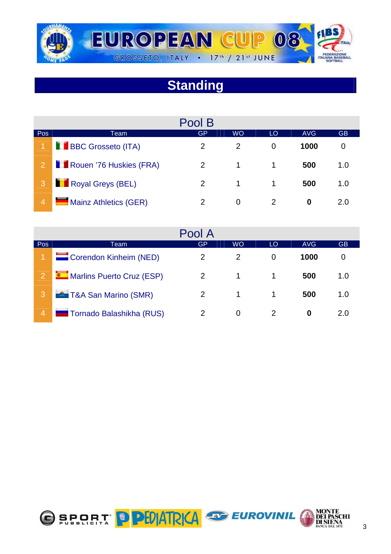

# **Standing**

|                |                           | Pool B         |           |    |      |           |
|----------------|---------------------------|----------------|-----------|----|------|-----------|
| Pos            | Team                      | GP             | <b>WO</b> | LO | AVG  | <b>GB</b> |
|                | <b>BBC Grosseto (ITA)</b> | 2              | 2         | 0  | 1000 |           |
| $\overline{2}$ | Rouen '76 Huskies (FRA)   | 2              | 1         | 1. | 500  | 1.0       |
|                | Royal Greys (BEL)         | 2              | 1         |    | 500  | 1.0       |
|                | Mainz Athletics (GER)     | $\overline{2}$ | 0         |    | 0    | 2.0       |

|                |                               | Pool A         |               |    |            |           |
|----------------|-------------------------------|----------------|---------------|----|------------|-----------|
| Pos            | Team                          | GP             | <b>WO</b>     | LO | <b>AVG</b> | <b>GB</b> |
|                | Corendon Kinheim (NED)        | $\overline{2}$ | $\mathcal{P}$ | 0  | 1000       | 0         |
| 2              | Marlins Puerto Cruz (ESP)     | 2              |               |    | 500        | 1.0       |
| ıЗ             | <b>2</b> T&A San Marino (SMR) | 2              |               |    | 500        | 1.0       |
| $\overline{4}$ | Tornado Balashikha (RUS)      | $\mathcal{P}$  | 0             |    | 0          | 2.0       |

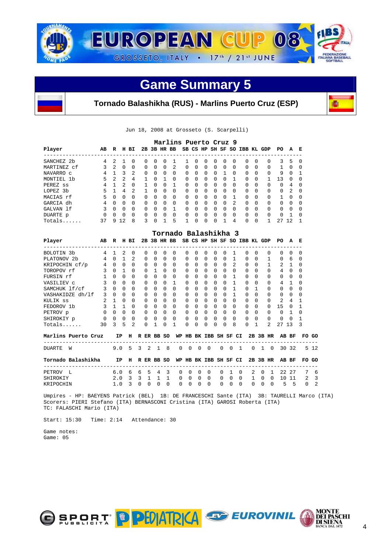



Jun 18, 2008 at Grosseto (S. Scarpelli)

|             |              |                |                |                |              |              |          | Marlins Puerto Cruz 9 |              |              |                |              |              |                |              |              |          |          |               |              |
|-------------|--------------|----------------|----------------|----------------|--------------|--------------|----------|-----------------------|--------------|--------------|----------------|--------------|--------------|----------------|--------------|--------------|----------|----------|---------------|--------------|
| Player      | AB           | R              | н              | вI             | 2B           | 3B           |          | HR BB                 |              |              | SB CS HP SH SF |              |              | so             | IBB KL       |              | GDP      | PO       | A             | Е            |
| SANCHEZ 2b  | 4            | $\mathcal{L}$  |                | $\Omega$       | <sup>0</sup> | n            | O        |                       |              | <sup>n</sup> | 0              | 0            | <sup>0</sup> | <sup>0</sup>   | 0            | <sup>0</sup> | $\Omega$ | 3        | 5             | - 0          |
| MARTINEZ cf | 3            | $\mathfrak{D}$ | <sup>0</sup>   | $\Omega$       | <sup>0</sup> | <sup>0</sup> | $\Omega$ | 2                     | $\Omega$     | $\Omega$     | $\Omega$       | $\Omega$     | $\Omega$     | <sup>0</sup>   | 0            | <sup>0</sup> | $\Omega$ | 1.       | $\Omega$      | 0            |
| NAVARRO c   | 4            |                | 3              | 2              | $\Omega$     | <sup>0</sup> | $\Omega$ | $\Omega$              | $\Omega$     | $\Omega$     | $\Omega$       | $\Omega$     |              | <sup>0</sup>   | $\Omega$     | <sup>0</sup> | $\Omega$ | 9        | $\Omega$      |              |
| MONTIEL 1b  | 5            | $\mathfrak{D}$ | $\overline{2}$ | 4              |              | U            |          | $\Omega$              | $\Omega$     | $\Omega$     | <sup>0</sup>   | $\Omega$     | $\cap$       |                | $\Omega$     | <sup>0</sup> |          | 13       | $\cap$        | $\Omega$     |
| PEREZ ss    | 4            |                | 2              | $\Omega$       |              | U            | $\Omega$ | 1                     | 0            | $\Omega$     | $\Omega$       | $\Omega$     | $\Omega$     | <sup>0</sup>   | $\Omega$     | $\Omega$     | $\Omega$ | $\Omega$ | 4             | <sup>0</sup> |
| LOPEZ 3b    | 5            |                | 4              | $\mathfrak{D}$ |              | U            | $\Omega$ | $\Omega$              | $\Omega$     | $\cap$       | <sup>0</sup>   | $\Omega$     | $\cap$       | <sup>0</sup>   | <sup>0</sup> | <sup>0</sup> | $\Omega$ | $\Omega$ | $\mathcal{L}$ | $\Omega$     |
| MACIAS rf   | 5            | $\Omega$       | <sup>0</sup>   | $\Omega$       | <sup>0</sup> | <sup>0</sup> | $\Omega$ | $\Omega$              | $\Omega$     | $\Omega$     | $\Omega$       | $\Omega$     | $\Omega$     |                | $\Omega$     | $\Omega$     | $\Omega$ |          | $\Omega$      | <sup>0</sup> |
| GARCIA dh   | 4            | $\cap$         | <sup>n</sup>   | $\Omega$       | $\Omega$     | <sup>n</sup> | $\Omega$ | $\Omega$              | $\Omega$     | $\Omega$     | $\Omega$       | $\Omega$     | $\Omega$     | $\mathfrak{D}$ | $\Omega$     | $\Omega$     | $\Omega$ | $\Omega$ | $\cap$        | $\cap$       |
| GALVAN 1f   | 3            | <sup>0</sup>   | <sup>0</sup>   | $\Omega$       | <sup>0</sup> | $\cap$       | $\Omega$ |                       | 0            | $\Omega$     | $\Omega$       | $\Omega$     | $\Omega$     | <sup>0</sup>   | $\Omega$     | $\Omega$     | $\Omega$ | $\Omega$ | $\Omega$      | $\Omega$     |
| DUARTE p    | <sup>0</sup> | U              | <sup>n</sup>   | $\Omega$       | <sup>0</sup> | n            | $\Omega$ | $\Omega$              | <sup>0</sup> | U            | $\Omega$       | <sup>0</sup> | $\cap$       | <sup>0</sup>   | $\Omega$     | U            | $\Omega$ | $\Omega$ |               | $\cap$       |
| $Totals$    | 37           | q              | 12             | 8              | 3            | U            |          | 5                     |              | U            | U              | <sup>0</sup> |              | 4              | U            | O            |          | 27       | 12            |              |

|                         |    |              |              |                |          |              |             |              | Tornado Balashikha 3 |              |          |              |              |          |                              |              |                |               |              |          |
|-------------------------|----|--------------|--------------|----------------|----------|--------------|-------------|--------------|----------------------|--------------|----------|--------------|--------------|----------|------------------------------|--------------|----------------|---------------|--------------|----------|
| Player                  | AB | R            | н            | BІ             |          |              | 2B 3B HR BB |              |                      |              |          |              |              |          | SB CS HP SH SF SO IBB KL GDP |              |                | PO.           | A            | E        |
| BOLOTIN <sub>3</sub> b  | 4  |              | 2            | $\Omega$       | $\Omega$ | $\Omega$     | $\Omega$    | <sup>0</sup> | $\Omega$             | $\Omega$     | $\cap$   | $\Omega$     | <sup>0</sup> |          | $\Omega$                     | $\Omega$     | $\Omega$       | $\Omega$      | $\Omega$     | n        |
| PLATONOV <sub>2</sub> b |    |              |              | $\mathfrak{D}$ | $\Omega$ | $\Omega$     | $\Omega$    | <sup>0</sup> | 0                    | 0            | $\Omega$ | $\Omega$     | <sup>0</sup> |          | $\cap$                       | <sup>0</sup> |                | $\Omega$      | 6            | ∩        |
| KRIPOCHIN cf/p          | 4  | <sup>0</sup> | $\Omega$     | $\Omega$       | $\Omega$ | $\Omega$     | $\Omega$    | 0            | 0                    | 0            | $\Omega$ | $\Omega$     | $\Omega$     | 2        | $\Omega$                     | <sup>0</sup> |                | 2             |              | n        |
| TOROPOV rf              | ζ  | $\Omega$     |              | $\Omega$       | $\Omega$ | $\mathbf{1}$ | $\Omega$    | <sup>0</sup> | $\Omega$             | $\Omega$     | $\Omega$ | $\Omega$     | $\Omega$     | $\Omega$ | $\Omega$                     | $\Omega$     | $\Omega$       | 4             | $\Omega$     | $\cap$   |
| FURSIN rf               |    | U            | $\Omega$     | $\Omega$       | $\Omega$ | $\cap$       | $\Omega$    | <sup>0</sup> | <sup>0</sup>         | <sup>0</sup> | $\Omega$ | $\Omega$     | $\Omega$     |          | $\Omega$                     | <sup>0</sup> | $\Omega$       | $\Omega$      | $\Omega$     | ∩        |
| VASILIEV C              |    | $\Omega$     | $\Omega$     | $\Omega$       | $\Omega$ | $\Omega$     | $\cap$      |              | <sup>0</sup>         | $\Omega$     | $\cap$   | $\Omega$     | <sup>0</sup> |          | $\cap$                       | <sup>0</sup> | $\Omega$       | 4             |              |          |
| SAMCHUK lf/cf           |    | $\Omega$     | $\Omega$     | $\Omega$       | $\Omega$ | $\Omega$     | $\Omega$    | 0            | 0                    | 0            | $\Omega$ | $\Omega$     | 0            |          | $\Omega$                     |              | $\Omega$       | $\Omega$      | <sup>0</sup> |          |
| VASHAKIDZE dh/lf        | 3  | $\Omega$     | $\Omega$     | $\Omega$       | $\Omega$ | $\Omega$     | $\Omega$    | <sup>0</sup> | 0                    | $\Omega$     | $\Omega$ | $\Omega$     | 0            |          | $\Omega$                     | $\Omega$     | $\Omega$       | $\Omega$      | $\Omega$     | $\Omega$ |
| KULIK SS                |    |              | $\cap$       | $\cap$         | $\cap$   | $\cap$       | $\cap$      | <sup>0</sup> | <sup>0</sup>         | <sup>0</sup> | $\cap$   | $\Omega$     | <sup>n</sup> | $\cap$   | $\cap$                       | <sup>n</sup> | $\Omega$       | $\mathcal{D}$ | 4            |          |
| FEDOROV 1b              |    |              |              | $\Omega$       | $\Omega$ | $\cap$       | $\Omega$    | <sup>0</sup> | <sup>0</sup>         | $\Omega$     | $\cap$   | $\Omega$     | 0            | $\Omega$ | $\Omega$                     | <sup>0</sup> | U              | 15            | $\cap$       |          |
| PETROV p                | 0  | <sup>0</sup> | <sup>0</sup> | $\Omega$       | $\Omega$ | $\Omega$     | $\Omega$    | 0            | <sup>0</sup>         | <sup>0</sup> | $\Omega$ | $\Omega$     | 0            | $\Omega$ | $\Omega$                     | $\Omega$     | $\Omega$       | $\Omega$      |              |          |
| SHIROKIY p              | 0  | $\Omega$     | $\Omega$     | $\Omega$       | 0        | $\Omega$     | $\Omega$    | <sup>0</sup> | <sup>0</sup>         | <sup>0</sup> | $\cap$   | $\Omega$     | 0            | $\Omega$ | $\Omega$                     | $\Omega$     | $\Omega$       | $\Omega$      | <sup>n</sup> |          |
| $Totals$                | 30 | ς            | 5            | $\mathfrak{D}$ | U        |              | U           |              | <sup>0</sup>         |              | U        | <sup>0</sup> | U            | 8        | U                            |              | $\mathfrak{D}$ | 27            | 1 ว          |          |

| Marlins Puerto Cruz |                                              |  |  |  |  | IP H R ER BB SO WP HB BK IBB SH SF CI 2B 3B HR AB BF FO GO |  |  |  |  |  |
|---------------------|----------------------------------------------|--|--|--|--|------------------------------------------------------------|--|--|--|--|--|
| DUARTE<br><b>W</b>  | 9.0 5 3 2 1 8 0 0 0 0 0 0 1 0 1 0 30 32 5 12 |  |  |  |  |                                                            |  |  |  |  |  |
|                     |                                              |  |  |  |  |                                                            |  |  |  |  |  |
| Tornado Balashikha  |                                              |  |  |  |  | IP H R ER BB SO WP HB BK IBB SH SF CI 2B 3B HR AB BF FO GO |  |  |  |  |  |

KRIPOCHIN 1.0 3 0 0 0 0 0 0 0 0 0 0 0 0 0 0 5 5 0 2

 Umpires - HP: BAEYENS Patrick (BEL) 1B: DE FRANCESCHI Sante (ITA) 3B: TAURELLI Marco (ITA) Scorers: PIERI Stefano (ITA) BERNASCONI Cristina (ITA) GAROSI Roberta (ITA) TC: FALASCHI Mario (ITA)

Start: 15:30 Time: 2:14 Attendance: 30

 Game notes: Game: 05





в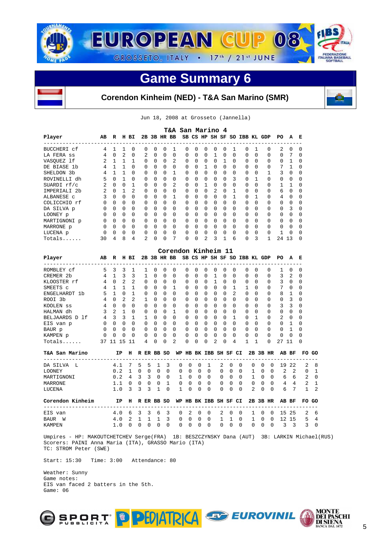



#### **Corendon Kinheim (NED) - T&A San Marino (SMR)**

Jun 18, 2008 at Grosseto (Jannella)

|                                               |                |              |                |              |                |             |              |          |               | T&A San Marino 4      |                         |                |          |                       |                |               |                              |               |                         |                |                |              |        |
|-----------------------------------------------|----------------|--------------|----------------|--------------|----------------|-------------|--------------|----------|---------------|-----------------------|-------------------------|----------------|----------|-----------------------|----------------|---------------|------------------------------|---------------|-------------------------|----------------|----------------|--------------|--------|
| Player<br>------------                        | AB             | R            |                | H BI         |                | 2B 3B HR BB |              |          |               |                       |                         |                |          |                       |                |               | SB CS HP SH SF SO IBB KL GDP |               |                         | PО             | A              | Е            |        |
| BUCCHERI cf                                   | 4              | 1            | 1              | 0            | 0              | 0           | 0            |          | 1             | 0                     | 0                       | 0              | 0        | 0                     | 1              |               | 0                            | 1             | 0                       | 2              | 0              | 0            |        |
| LA FERA SS                                    | 4              | $\Omega$     | $\overline{2}$ | $\Omega$     | $\overline{2}$ | $\Omega$    | $\Omega$     |          | $\Omega$      | $\mathbf 0$           | $\Omega$                | 0              | 1        | $\mathbf 0$           | $\Omega$       |               | $\Omega$                     | $\Omega$      | 0                       | $\mathbf 0$    | 7              | $\mathbf 0$  |        |
| VASOUEZ 1f                                    | 2              | 1            | 1              | 1            | $\Omega$       | $\Omega$    | $\Omega$     |          | 2             | 0                     | $\Omega$                | 0              | $\Omega$ | 1                     | $\Omega$       |               | $\Omega$                     | $\Omega$      | 0                       | 0              | 1              | 0            |        |
| DE BIASE 1b                                   | 4              | $\mathbf{1}$ | 1              | $\Omega$     | $\Omega$       | $\Omega$    | $\Omega$     |          | $\Omega$      | $\Omega$              | <sup>0</sup>            | $\mathbf{1}$   | $\Omega$ | $\Omega$              | $\Omega$       |               | $\Omega$                     | <sup>0</sup>  | U                       | 7              | $\mathbf{1}$   | $\Omega$     |        |
| SHELDON 3b                                    | 4              | $\mathbf{1}$ | $\mathbf{1}$   | $\Omega$     | 0              | 0           | 0            |          | 1             | 0                     | 0                       | 0              | 0        | 0                     | $\Omega$       |               | $\Omega$                     | $\Omega$      | 1                       | 3              | 0              | 0            |        |
| ROVINELLI dh                                  | 5              | $\mathbf{0}$ | 1              | 0            | 0              | 0           | 0            |          | 0             | 0                     | 0                       | 0              | 0        | 0                     | 3              |               | 0                            | 1             | 0                       | 0              | 0              | $\mathbf 0$  |        |
| SUARDI rf/c                                   | 2              | 0            | $\Omega$       | $\mathbf{1}$ | $\Omega$       | 0           | $\Omega$     |          | 2             | $\Omega$              | 0                       | 1              | 0        | $\Omega$              | $\Omega$       |               | $\Omega$                     | $\Omega$      | 0                       | 1              | 1              | $\Omega$     |        |
| IMPERIALI 2b                                  | 2              | $\Omega$     | $\mathbf{1}$   | 2            | $\mathbf 0$    | $\Omega$    | $\Omega$     |          | 0             | 0                     | $\Omega$                | 0              | 2        | $\Omega$              | $\mathbf{1}$   |               | $\Omega$                     | $\Omega$      | $\Omega$                | 6              | 0              | $\Omega$     |        |
| ALBANESE C                                    | 3              | $\Omega$     | $\mathbf 0$    | $\Omega$     | $\Omega$       | $\Omega$    | $\Omega$     |          | $\mathbf{1}$  | $\Omega$              | $\Omega$                | 0              | 0        | $\Omega$              | $\mathbf{1}$   |               | $\Omega$                     | $\mathbf{1}$  | $\Omega$                | $\overline{4}$ | 0              | 0            |        |
| COLICCHIO rf                                  | $\Omega$       | 0            | $\Omega$       | 0            | 0              | 0           | 0            |          | <sup>0</sup>  | 0                     | 0                       | 0              | 0        | $\Omega$              | $\Omega$       |               | $\Omega$                     | 0             | 0                       | 0              | 0              | 0            |        |
| DA SILVA p                                    | $\Omega$       | <sup>0</sup> | $\Omega$       | $\Omega$     | $\Omega$       | $\Omega$    | $\Omega$     |          | $\Omega$      | $\Omega$              | <sup>0</sup>            | <sup>0</sup>   | $\Omega$ | $\Omega$              | $\Omega$       |               | $\Omega$                     | $\Omega$      | $\Omega$                | $\Omega$       | 3              | <sup>0</sup> |        |
| LOONEY p                                      | $\Omega$       | 0            | 0              | $\Omega$     | 0              | 0           | 0            |          | 0             | 0                     | 0                       | 0              | 0        | 0                     | $\Omega$       |               | $\Omega$                     | $\Omega$      | 0                       | 0              | 0              | 0            |        |
| MARTIGNONI p                                  | $\Omega$       | $\Omega$     | $\Omega$       | $\Omega$     | $\mathbf 0$    | $\Omega$    | $\Omega$     |          | $\Omega$      | 0                     | $\Omega$                | 0              | 0        | $\Omega$              | $\Omega$       |               | $\Omega$                     | $\Omega$      | $\Omega$                | 0              | 0              | $\Omega$     |        |
| MARRONE p                                     | 0              | 0            | $\mathbf 0$    | $\Omega$     | 0              | $\Omega$    | $\Omega$     |          | 0             | 0                     | 0                       | 0              | 0        | $\Omega$              | $\Omega$       |               | $\Omega$                     | $\Omega$      | $\Omega$                | 0              | 0              | 0            |        |
| LUCENA p                                      | 0              | $\Omega$     | $\mathbf 0$    | $\Omega$     | 0              | 0           | $\Omega$     |          | 0             | 0                     | 0                       | 0              | 0        | 0                     | $\Omega$       |               | $\Omega$                     | $\Omega$      | $\Omega$                | 1              | 0              | $\Omega$     |        |
| Totals                                        | 30             | 4            | 8              | 4            | $\overline{2}$ | $\Omega$    | $\Omega$     |          | 7             | $\Omega$              | 0                       | $\overline{2}$ | 3        | $\mathbf{1}$          | 6              |               | $\Omega$                     | 3             | $\mathbf{1}$            | 24 13          |                | $\Omega$     |        |
|                                               |                |              |                |              |                |             |              |          |               |                       |                         |                |          |                       |                |               |                              |               |                         |                |                |              |        |
|                                               |                |              |                |              |                |             |              |          |               | Corendon Kinheim 11   |                         |                |          |                       |                |               |                              |               |                         |                |                |              |        |
| Player                                        | AB             | R            |                | H BI         |                | 2B 3B HR BB |              |          |               |                       |                         |                |          |                       |                |               | SB CS HP SH SF SO IBB KL GDP |               |                         | PO.            | A              | Е            |        |
| ROMBLEY cf                                    | 5              | 3            | 3              | 1            | 1              | $\Omega$    | $\Omega$     |          | 0             | 0                     | $\Omega$                | $\Omega$       | 0        | $\Omega$              | $\Omega$       |               | 0                            | $\Omega$      | 0                       | 1              | 0              | 0            |        |
| CREMER 2b                                     | $\overline{4}$ | 1            | 3              | 3            | $\mathbf{1}$   | $\Omega$    | 0            |          | 0             | $\Omega$              | $\Omega$                | $\Omega$       | 1        | $\Omega$              | $\Omega$       |               | $\Omega$                     | $\Omega$      | $\Omega$                | 3              | 2              | $\mathbf 0$  |        |
| KLOOSTER rf                                   | 4              | $\Omega$     | 2              | 2            | $\Omega$       | $\Omega$    | $\Omega$     |          | $\Omega$      | $\Omega$              | <sup>0</sup>            | 0              | 1        | <sup>0</sup>          | <sup>0</sup>   |               | $\Omega$                     | <sup>0</sup>  | <sup>0</sup>            | 3              | 0              | $\Omega$     |        |
| SMEETS C                                      | 4              | 1            | 1              | 1            | $\mathbf 0$    | 0           | 0            |          | 1             | 0                     | 0                       | 0              | 0        | 0                     | 1              |               | 1                            | $\Omega$      | 0                       | 7              | 0              | 0            |        |
| ENGELHARDT 1b                                 | 5              | $\mathbf{1}$ | $\Omega$       | $\mathbf{1}$ | $\Omega$       | $\Omega$    | $\Omega$     |          | 0             | $\Omega$              | $\Omega$                | $\Omega$       | $\Omega$ | $\Omega$              | $\overline{a}$ |               | $\Omega$                     | $\Omega$      | 0                       | 8              | 1              | $\Omega$     |        |
| ROOI 3b                                       | 4              | $\Omega$     | 2              | 2            | $\mathbf{1}$   | $\Omega$    | $\Omega$     |          | 0             | 0                     | 0                       | 0              | 0        | $\Omega$              | $\Omega$       |               | $\Omega$                     | $\Omega$      | 0                       | 0              | 3              | $\Omega$     |        |
| KOOLEN SS                                     | 4              | $\Omega$     | $\mathbf 0$    | $\Omega$     | $\mathbf 0$    | $\Omega$    | $\Omega$     | $\Omega$ |               | 0                     | 0                       | 0              | 0        | $\Omega$              | $\Omega$       |               | $\Omega$                     | $\Omega$      | $\Omega$                | 3              | 3              | 0            |        |
| HALMAN dh                                     | 3              | 2            | 1              | $\Omega$     | $\mathbf 0$    | 0           | $\Omega$     |          | 1             | 0                     | 0                       | 0              | 0        | $\Omega$              | $\Omega$       |               | $\Omega$                     | $\Omega$      | 0                       | 0              | 0              | 0            |        |
| BELJAARDS D 1f                                | $\overline{4}$ | 3            | 3              | $\mathbf{1}$ | $\mathbf{1}$   | $\Omega$    | $\Omega$     |          | $\Omega$      | $\Omega$              | $\Omega$                | 0              | 0        | $\Omega$              | $\mathbf{1}$   |               | $\Omega$                     | 1             | $\Omega$                | 2              | 0              | $\Omega$     |        |
| EIS van p                                     | <sup>0</sup>   | <sup>0</sup> | $\Omega$       | <sup>0</sup> | $\Omega$       | $\Omega$    | $\Omega$     |          | $\Omega$      | $\Omega$              | 0                       | 0              | $\Omega$ | $\Omega$              | <sup>0</sup>   |               | $\Omega$                     | $\Omega$      | <sup>0</sup>            | $\Omega$       | 1              | <sup>0</sup> |        |
| BAUR p                                        | $\Omega$       | $\Omega$     | $\Omega$       | $\Omega$     | $\Omega$       | $\Omega$    | $\Omega$     |          | 0             | $\Omega$              | $\Omega$                | $\Omega$       | $\Omega$ | $\Omega$              | $\Omega$       |               | $\Omega$                     | $\Omega$      | $\Omega$                | $\Omega$       | 1              | $\Omega$     |        |
| KAMPEN p                                      | $\mathbf 0$    | 0            | $\mathbf 0$    | $\Omega$     | 0              | 0           | 0            |          | 0             | 0                     | 0                       | 0              | 0        | $\Omega$              | $\Omega$       |               | $\Omega$                     | $\Omega$      | $\Omega$                | $\mathbf 0$    | 0              | $\Omega$     |        |
| Totals                                        |                | 37 11 15     |                | 11           | 4              | 0           | 0            |          | 2             | 0                     | 0                       | 0              | 2        | 0                     | 4              |               | $\mathbf{1}$                 | $\mathbf{1}$  | $\Omega$                | 27             | 11             | 0            |        |
|                                               |                |              |                |              |                |             |              |          |               |                       |                         |                |          |                       |                |               |                              |               |                         |                |                |              |        |
| T&A San Marino<br>___________________________ |                |              | ΙP             | н            |                | R ER BB SO  |              |          |               | WP HB BK IBB SH SF CI |                         |                |          |                       |                |               |                              |               | 2B 3B HR                |                | AB BF          | FO           | GO     |
| DA SILVA<br>L                                 |                | 4.1          |                | 7            | 5              | 5           | 1            | 3        | 0             | 0                     | 0                       | 1              |          | 2                     | 0              | $\Omega$      | 0                            | 0             | 0                       | 19             | 22             | 2            | 8      |
| <b>LOONEY</b>                                 |                | 0.2          |                | 1            | $\Omega$       | $\Omega$    | $\Omega$     | $\Omega$ | $\Omega$      | $\Omega$              | $\Omega$                | $\Omega$       |          | $\Omega$              | $\Omega$       | $\Omega$      | $\mathbf{1}$                 | $\Omega$      | $\Omega$                | 2              | $\overline{2}$ | $\Omega$     | 1      |
| MARTIGNONI                                    |                | 0.2          |                | 4            | 3              | 3           | 0            | 0        | 1             | $\Omega$              | 0                       | $\Omega$       |          | 0                     | 0              | $\Omega$      | 1                            | $\Omega$      | $\Omega$                | 6              | 6              | 2            | 0      |
| MARRONE                                       |                | 1.1          |                | 0            | 0              | 0           | 0            | 1        | 0             | 0                     | 0                       | 0              |          | 0                     | 0              | $\Omega$      | 0                            | 0             | 0                       | 4              | 4              | 2            | 1      |
| LUCENA                                        |                | 1.0          |                | 3            | 3              | 3           | $\mathbf{1}$ | $\Omega$ | 1             | $\Omega$              | $\Omega$                | $\Omega$       |          | $\Omega$              | 0              | $\Omega$      | 2                            | 0             | $\Omega$                | 6              | 7              | $\mathbf{1}$ | 2      |
|                                               |                |              |                |              |                |             |              |          |               |                       |                         |                |          | WP HB BK IBB SH SF CI |                |               |                              |               | 2B 3B HR                |                | AB BF          | FO GO        |        |
| Corendon Kinheim                              |                |              | ΙP             | н            | R ER BB SO     |             |              |          |               |                       |                         |                |          |                       |                |               |                              |               |                         |                |                |              |        |
| ------------                                  |                |              |                |              |                |             |              |          |               |                       |                         |                |          |                       |                |               |                              |               |                         |                |                |              |        |
| EIS van<br>BAUR<br>W                          |                | 4.0<br>4.0   |                | 6<br>2       | 3<br>1         | 3<br>1      | 6<br>1       | 3<br>3   | $\Omega$<br>0 | 2<br>$\mathbf 0$      | $\Omega$<br>$\mathbf 0$ | $\Omega$<br>0  |          | 2<br>1                | $\Omega$<br>1  | $\Omega$<br>0 | 1<br>$\mathbf{1}$            | $\Omega$<br>0 | $\Omega$<br>$\mathbf 0$ | 12             | 15 25<br>-15   | 2<br>5       | 6<br>4 |

 Umpires - HP: MAKOUTCHETCHEV Serge(FRA) 1B: BESZCZYNSKY Dana (AUT) 3B: LARKIN Michael(RUS) Scorers: PAINI Anna Maria (ITA), GRASSO Mario (ITA) TC: STROM Peter (SWE)

Start: 15:30 Time: 3:00 Attendance: 80

 Weather: Sunny Game notes: EIS van faced 2 batters in the 5th. Game: 06

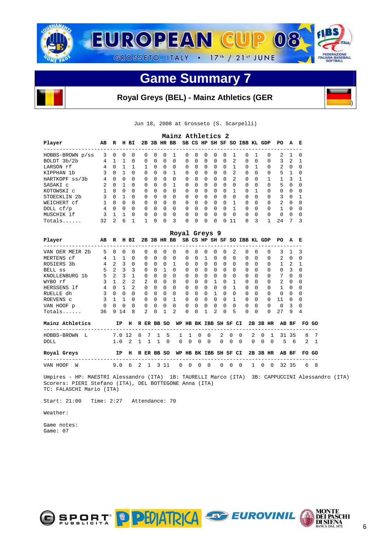

#### **Royal Greys (BEL) - Mainz Athletics (GER**

Jun 18, 2008 at Grosseto (S. Scarpelli)

|                         |                |                                     |                         |                |              |              |          |              | Mainz Athletics 2 |              |              |              |                |              |                |                                          |                |          |              |                |                         |              |    |
|-------------------------|----------------|-------------------------------------|-------------------------|----------------|--------------|--------------|----------|--------------|-------------------|--------------|--------------|--------------|----------------|--------------|----------------|------------------------------------------|----------------|----------|--------------|----------------|-------------------------|--------------|----|
| Player                  | AВ             |                                     |                         | R H BI         |              |              |          |              |                   |              |              |              |                |              |                | 2B 3B HR BB SB CS HP SH SF SO IBB KL GDP |                |          |              | PO.            | A                       | E            |    |
| HOBBS-BROWN p/ss        | 3              | $\Omega$                            | $\Omega$                | $\Omega$       |              | $\Omega$     | $\Omega$ | $\Omega$     | 1                 | $\Omega$     | 0            | $\Omega$     | $\Omega$       | $\Omega$     | 1              | $\Omega$                                 | 1              |          | 0            | 2              | $\mathbf{1}$            | $\Omega$     |    |
| BOLDT 3b/2b             | 4              | 1                                   | $\overline{1}$          | 0              |              | $\Omega$     | $\Omega$ | $\Omega$     | 0                 | $\Omega$     | $\Omega$     | $\Omega$     | $\Omega$       | $\Omega$     | $\overline{2}$ | $\Omega$                                 | $\Omega$       |          | <sup>0</sup> | 3              | $\overline{2}$          | 1            |    |
| LARSON rf               | 4              | $\Omega$                            | $\mathbf{1}$            | 1              |              | 1            | $\Omega$ | $\Omega$     | 0                 | $\Omega$     | $\Omega$     | $\Omega$     | $\Omega$       | $\Omega$     | $\mathbf{1}$   |                                          | $0\quad1$      |          | $\Omega$     | $2 \ 0$        |                         | $\Omega$     |    |
| KIPPHAN 1b              | $\mathcal{L}$  | $\Omega$                            | $\overline{1}$          | $\Omega$       |              | $\Omega$     | $\Omega$ | $\Omega$     | 1                 | $\Omega$     | $\Omega$     | $\Omega$     | $\Omega$       | $\Omega$     | 2              | $\Omega$                                 | $\Omega$       |          | $\Omega$     | 5              | $\overline{1}$          | <sup>0</sup> |    |
| HARTKOPF ss/3b          | 4              | $\Omega$                            | - 0                     | 0              |              | $\Omega$     | $\Omega$ | $\Omega$     | $\Omega$          | $\Omega$     | $\Omega$     | <sup>0</sup> | $\Omega$       | $\Omega$     | $\overline{a}$ | $\Omega$                                 | $\Omega$       |          | 1.           | $\mathbf{1}$   | $\overline{\mathbf{3}}$ | 1            |    |
| SASAKI C                | 2              | $\Omega$                            | $\overline{1}$          | $\Omega$       |              | $\Omega$     | $\Omega$ | $\Omega$     | 1                 | $\Omega$     | $\Omega$     | <sup>0</sup> | $\Omega$       | $\Omega$     | $\Omega$       | $\cap$                                   | $\Omega$       |          | <sup>n</sup> | 5              | $\Omega$                | $\Omega$     |    |
| KOTOWSKI C              | $\mathbf{1}$   | $\Omega$                            | $\Omega$                | $\Omega$       |              | $\Omega$     | $\Omega$ | $\Omega$     | $\Omega$          | $\Omega$     | $\Omega$     | <sup>0</sup> | $\Omega$       | $\Omega$     | 1              | $\Omega$                                 | $\mathbf{1}$   |          | $\Omega$     | $\Omega$       | $\Omega$                | $\Omega$     |    |
| STOECKLIN <sub>2b</sub> | 3              | $\Omega$                            | <sup>1</sup>            | $\Omega$       |              | $\Omega$     | $\Omega$ | $\Omega$     | O                 | $\Omega$     | $\Omega$     | <sup>0</sup> | $\Omega$       | $\Omega$     | $\Omega$       | $\Omega$                                 | $\Omega$       |          | $\Omega$     | 3              | $\Omega$                | 1            |    |
| WEICHERT cf             | $\mathbf{1}$   | $\Omega$                            | $\cap$                  | $\Omega$       |              | $\Omega$     | $\Omega$ | $\Omega$     | $\Omega$          | $\Omega$     | $\Omega$     | $\Omega$     | $\Omega$       | $\Omega$     | $\mathbf{1}$   | $\Omega$                                 | $\Omega$       |          | $\Omega$     | $\overline{2}$ | $\Omega$                | $\Omega$     |    |
| DOLL cf/p               | $\overline{4}$ |                                     | $0 \quad 0$             | $\Omega$       |              | $\Omega$     | $\Omega$ | $\Omega$     | $\Omega$          | $\Omega$     | $\Omega$     | $\Omega$     | $\Omega$       | $\Omega$     | $\mathbf{1}$   | $\Omega$                                 | $\Omega$       |          | $\Omega$     | $\mathbf{1}$   | $\bigcirc$              | 0            |    |
| MUSCHIK 1f              | 3              | $\overline{1}$                      | $\overline{1}$          | $\Omega$       |              | $\mathbf 0$  | $\Omega$ | $\Omega$     | $\Omega$          | $\Omega$     | $\Omega$     | $\Omega$     | $\Omega$       | $\Omega$     | $\Omega$       | $\Omega$                                 | $\Omega$       |          | $\Omega$     | $\Omega$       | $\Omega$                | $\Omega$     |    |
| Totals                  | 32             | $\mathfrak{D}$                      | 6                       | $\mathbf{1}$   |              | 1            | U        | <sup>0</sup> | 3                 | <sup>0</sup> | <sup>0</sup> | $\Omega$     | <sup>0</sup>   | <sup>0</sup> | 11             | $\Omega$                                 | $\overline{3}$ |          | 1            | 24             | 7                       | 3            |    |
|                         |                |                                     |                         |                |              |              |          |              | Royal Greys 9     |              |              |              |                |              |                |                                          |                |          |              |                |                         |              |    |
| Player                  | AВ             |                                     |                         | R II BI        |              |              |          |              |                   |              |              |              |                |              |                | 2B 3B HR BB SB CS HP SH SF SO IBB KL GDP |                |          |              | PO A E         |                         |              |    |
| VAN DER MEIR 2b         | 5              | $\Omega$                            | $\Omega$                | $\Omega$       |              | $\Omega$     | $\Omega$ | $\Omega$     | $\Omega$          | $\Omega$     | $\Omega$     | 0            | $\Omega$       | $\Omega$     | $\mathfrak{D}$ | $\Omega$                                 | $\Omega$       |          | 0            | 3              | $\mathbf{1}$            | 3            |    |
| MERTENS cf              |                | 4 1                                 | $\overline{1}$          | 0              |              | $\Omega$     | $\Omega$ | $\Omega$     | $\Omega$          | $\Omega$     | $\Omega$     | 1            | $\Omega$       | $\Omega$     | $\Omega$       | $\Omega$                                 | $\Omega$       |          | 0            | $2 \ 0$        |                         | $\Omega$     |    |
| ROSIERS 3b              | $\overline{4}$ | 2                                   | $\overline{\mathbf{3}}$ | $\Omega$       |              | $\Omega$     | $\Omega$ | $\Omega$     | 1                 | $\Omega$     | $\Omega$     | $\Omega$     | $\bigcirc$     | $\Omega$     | $\Omega$       | $\Omega$                                 | $\Omega$       |          | $\Omega$     | $1 \quad 2$    |                         | $\mathbf{1}$ |    |
| BELL SS                 | 5              | 2                                   | $\overline{\mathbf{3}}$ | 3              |              | $\Omega$     | $\Omega$ | $\mathbf{1}$ | $\Omega$          | $\Omega$     | $\Omega$     | 0            | $\bigcirc$     | $\Omega$     | $\Omega$       | $\Omega$                                 | $\Omega$       |          | $\Omega$     | $\Omega$       | $\overline{\mathbf{3}}$ | $\Omega$     |    |
| KNOLLENBURG 1b          | 5              |                                     | 2 <sup>3</sup>          | $\mathbf{1}$   |              | $\Omega$     | $\Omega$ | $\Omega$     | $\Omega$          | $\Omega$     | $\Omega$     | <sup>0</sup> | $\bigcirc$     | $\Omega$     | $\Omega$       | $\Omega$                                 | $\Omega$       |          | <sup>0</sup> | $7\quad 0$     |                         | <sup>0</sup> |    |
| WYBO rf                 | 3              | $1 \quad 2$                         |                         | $\overline{2}$ |              | 2            | $\Omega$ | $\Omega$     | $\Omega$          | $\Omega$     | $\Omega$     | 0            | <sup>1</sup>   | $\Omega$     | $\mathbf{1}$   | $\Omega$                                 | $\Omega$       |          | $\Omega$     | $\overline{2}$ | $\bigcirc$              | $\Omega$     |    |
| HERSSENS 1f             | $\overline{4}$ |                                     | $0 \quad 1$             | $\overline{a}$ |              | $\Omega$     | $\Omega$ | $\Omega$     | <sup>0</sup>      | $\Omega$     | $\Omega$     | $\Omega$     | $\overline{0}$ | $\Omega$     | $\mathbf{1}$   | $\Omega$                                 | $\Omega$       |          | 0            | $\mathbf{1}$   | $\bigcirc$              | $\Omega$     |    |
| RUELLE dh               | $\mathbf{3}$   | $\begin{matrix} 0 & 0 \end{matrix}$ |                         | $\Omega$       |              | $\Omega$     | $\Omega$ | $\Omega$     | 0                 | $\Omega$     | $\Omega$     | $\Omega$     | $\mathbf{1}$   | $\Omega$     | $\Omega$       | $\Omega$                                 | $\Omega$       |          | $\Omega$     | $\Omega$       | $\bigcirc$              | <sup>0</sup> |    |
| ROEVENS C               | 3              | $\mathbf{1}$                        | $\overline{1}$          | 0              |              | $\mathbf{0}$ | 0        | 0            | $\mathbf{1}$      | 0            | $\Omega$     |              | $0\quad 0$     | $\Omega$     | $\mathbf{1}$   | $\Omega$                                 | $\bigcirc$     |          | $\Omega$     | 11             | $\bigcirc$              | <sup>0</sup> |    |
| VAN HOOF p              | $\Omega$       | $\Omega$                            | $\Omega$                | 0              |              | $\mathbf 0$  | 0        | $\mathbf 0$  | $\Omega$          | 0            | $\Omega$     | $\Omega$     | $\Omega$       | 0            | $\Omega$       | $\Omega$                                 | $\Omega$       |          | $\Omega$     | 0              | 3                       | <sup>0</sup> |    |
| Totals                  | 36             |                                     | 9 14                    | 8              |              | 2            | $\Omega$ | $\mathbf{1}$ | 2                 | $\Omega$     | 0            | 1            | 2              | $\Omega$     | 5              | $\Omega$                                 | $\Omega$       |          | $\Omega$     | 27             | 9                       | 4            |    |
| Mainz Athletics         |                |                                     | ΙP                      |                | H R ER BB SO |              |          |              |                   |              |              |              |                |              |                | WP HB BK IBB SH SF CI                    |                |          | 2B 3B HR     |                | AB BF                   | FO.          | GO |
|                         |                |                                     |                         |                |              |              |          |              |                   |              |              |              |                |              |                |                                          |                |          |              | ------         |                         |              |    |
| HOBBS-BROWN<br>L        |                |                                     | 7.0 12                  |                | 8            | 7            | 1        | 5            | 1                 | 1            | 0            | 0            |                | 2            | $\Omega$       | $\Omega$                                 | 2              | $\Omega$ | 1            |                | 31 35                   | 8            |    |

 **Royal Greys IP H R ER BB SO WP HB BK IBB SH SF CI 2B 3B HR AB BF FO GO**  --------------------------------------------------------------------------------------- VAN HOOF W 9.0 6 2 1 3 11 0 0 0 0 0 0 0 1 0 0 32 35 6 8

 Umpires - HP: MAESTRI Alessandro (ITA) 1B: TAURELLI Marco (ITA) 3B: CAPPUCCINI Alessandro (ITA) Scorers: PIERI Stefano (ITA), DEL BOTTEGONE Anna (ITA) TC: FALASCHI Mario (ITA)

Start: 21:00 Time: 2:27 Attendance: 70

Weather:

 Game notes: Game: 07





)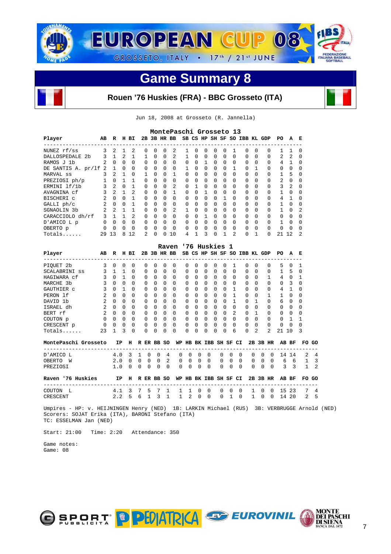

#### **Rouen '76 Huskies (FRA) - BBC Grosseto (ITA)**

Jun 18, 2008 at Grosseto (R. Jannella)

|                                     |                |                |                |                |               |              |             |                | MontePaschi Grosseto 13 |             |                |             |               |                |                              |              |                |                |                |              |
|-------------------------------------|----------------|----------------|----------------|----------------|---------------|--------------|-------------|----------------|-------------------------|-------------|----------------|-------------|---------------|----------------|------------------------------|--------------|----------------|----------------|----------------|--------------|
| Player<br>------------------------- | AВ             | R              |                | H BI           |               |              |             | 2B 3B HR BB    |                         |             | ------------   |             |               |                | SB CS HP SH SF SO IBB KL GDP |              | -------------- | PO.            | A              | E            |
| NUNEZ rf/ss                         | 3              | 2              | $\mathbf{1}$   | $\mathfrak{D}$ | $\Omega$      | $\Omega$     | $\Omega$    | 2              | 1                       | $\Omega$    | $\Omega$       | $\Omega$    | $\Omega$      | 1              | 0                            | 0            | 0              |                |                | <sup>0</sup> |
| <b>DALLOSPEDALE</b><br>- 2b         | 3              | $\mathbf{1}$   | 2              | $\mathbf{1}$   | $\mathbf{1}$  | 0            | $\mathbf 0$ | 2              | 1                       | $\mathbf 0$ | $\mathbf 0$    | $\mathbf 0$ | $\mathbf 0$   | $\mathbf 0$    | $\Omega$                     | 0            | 0              | $\mathbf{2}$   | $\mathbf{2}$   |              |
| RAMOS J 1b                          | $\overline{2}$ | $\Omega$       | $\Omega$       | $\Omega$       | $\Omega$      | $\Omega$     | $\Omega$    | $\Omega$       | $\Omega$                | $\Omega$    | $\mathbf{1}$   | $\Omega$    | $\Omega$      | $\Omega$       | $\Omega$                     | $\Omega$     | $\Omega$       | 4              | 1              |              |
| DE SANTIS A. pr/lf                  | $\mathfrak{D}$ | $\mathbf{1}$   | $\Omega$       | $\Omega$       | $\Omega$      | $\Omega$     | $\Omega$    | $\Omega$       | 1.                      | $\Omega$    | $\Omega$       | $\Omega$    | $\Omega$      | 1              | $\Omega$                     | $\mathbf{1}$ | $\Omega$       | $\Omega$       | $\Omega$       |              |
| MARVAL ss                           | 3              | 2              | 1              | $\Omega$       | $\mathbf{1}$  | $\Omega$     | $\Omega$    | 1              | $\Omega$                | $\Omega$    | $\Omega$       | $\mathbf 0$ | $\Omega$      | $\Omega$       | $\Omega$                     | $\Omega$     | 0              | $\mathbf{1}$   | 5              |              |
| PREZIOSI ph/p                       |                | $\Omega$       |                |                | $\Omega$      | $\Omega$     | $\Omega$    | $\Omega$       | $\Omega$                | $\Omega$    | $\Omega$       | $\Omega$    | $\Omega$      | $\Omega$       | $\Omega$                     | $\Omega$     | 0              | $\overline{2}$ | $\Omega$       |              |
| ERMINI 1f/1b                        | 3              | $\mathbf{2}$   | $\Omega$       | 1              | $\Omega$      | 0            | $\Omega$    | $\mathfrak{D}$ | $\Omega$                |             | 0              | $\Omega$    | $\Omega$      | $\Omega$       | $\Omega$                     | 0            | 0              | 3              | $\mathfrak{D}$ |              |
| AVAGNINA cf                         | ζ              | $\overline{a}$ | $\mathbf{1}$   | $\mathfrak{D}$ | $\Omega$      | $\Omega$     | $\Omega$    | $\mathbf{1}$   | $\Omega$                | $\Omega$    |                | $\Omega$    | $\Omega$      | $\Omega$       | $\Omega$                     | $\Omega$     | 0              |                | <sup>0</sup>   |              |
| BISCHERI C                          | $\overline{2}$ | $\Omega$       | $\Omega$       | 1              | $\Omega$      | $\Omega$     | $\mathbf 0$ | $\Omega$       | $\Omega$                | $\Omega$    | $\Omega$       | $\mathbf 0$ |               | $\Omega$       | $\Omega$                     | 0            | 0              | 4              |                |              |
| GALLI ph/c                          | $\overline{a}$ | $\Omega$       | $\Omega$       | 1              | $\Omega$      | 0            | $\Omega$    | 0              | $\Omega$                | $\Omega$    | $\Omega$       | $\Omega$    | $\Omega$      | $\Omega$       | $\Omega$                     | $\Omega$     | 0              |                | $\Omega$       |              |
| SGNAOLIN 3b                         | $\overline{2}$ | $\mathfrak{D}$ | $\overline{1}$ | 1              | $\Omega$      | <sup>0</sup> | $\Omega$    | $\mathbf{2}$   | 1.                      | $\Omega$    | $\Omega$       | $\Omega$    | $\Omega$      | <sup>0</sup>   | $\Omega$                     | <sup>0</sup> | 0              |                | $\Omega$       |              |
| CARACCIOLO dh/rf                    | 3              | $\mathbf{1}$   | 1              | $\mathfrak{D}$ | $\Omega$      | $\Omega$     | $\Omega$    | $\Omega$       | $\Omega$                | $\Omega$    | $\mathbf{1}$   | $\Omega$    | $\Omega$      | $\Omega$       | $\Omega$                     | $\Omega$     | 0              | $\Omega$       | $\Omega$       |              |
| D'AMICO L p                         | 0              | $\Omega$       | $\Omega$       | $\Omega$       | $\Omega$      | $\Omega$     | $\Omega$    | $\Omega$       | $\Omega$                | $\Omega$    | $\Omega$       | $\Omega$    | $\Omega$      | $\Omega$       | $\Omega$                     | $\Omega$     | 0              |                | $\Omega$       |              |
| OBERTO p                            | U              | $\Omega$       |                | $\Omega$       | $\Omega$      | <sup>0</sup> | $\Omega$    | $\Omega$       | <sup>0</sup>            | $\Omega$    | $\Omega$       | $\Omega$    | $\Omega$      | $\Omega$       | $\Omega$                     | $\Omega$     | $\Omega$       | $\Omega$       | $\Omega$       |              |
| Totals                              | 29             | 13             | 8              | 12             | $\mathcal{L}$ | $\Omega$     | $\Omega$    | 10             | 4                       |             | २              | $\Omega$    |               | $\overline{2}$ | 0                            | 1            | U              | 2.1            | 12             | 2            |
|                                     |                |                |                |                |               |              |             | Raven          |                         |             |                |             | '76 Huskies 1 |                |                              |              |                |                |                |              |
| Player                              | AВ             | R              |                | H BI           | 2в            | 3B           |             | HR BB          |                         |             | SB CS HP SH SF |             |               | SO             |                              |              | IBB KL GDP     | PО             | А              | Е            |

| Player        | AВ            | R            | н            | ВI           |              | 2B 3B        |              | HR BB    |              |          | SB CS HP     |   | SH SF        |                | SO IBB KL    |              | GDP            | PO           | А        | - Е          |
|---------------|---------------|--------------|--------------|--------------|--------------|--------------|--------------|----------|--------------|----------|--------------|---|--------------|----------------|--------------|--------------|----------------|--------------|----------|--------------|
| PIOUET 2b     | 3             | <sup>0</sup> | 0            | 0            | $\Omega$     | 0            | U            | 0        | 0            | 0        | <sup>0</sup> | 0 | $^{(1)}$     |                | <sup>n</sup> | <sup>0</sup> | $\Omega$       | 5            | $\Omega$ |              |
| SCALABRINI ss |               |              |              | 0            | 0            | $\Omega$     | 0            | $\Omega$ | 0            | $\Omega$ | $\Omega$     | 0 | 0            | $\Omega$       | $\Omega$     | 0            | 0              |              | 5        | $\Omega$     |
| HAGIWARA cf   |               | 0            |              | 0            | 0            | <sup>0</sup> | U            | $\Omega$ | <sup>0</sup> | $\Omega$ | 0            | 0 | 0            | $\Omega$       | $\Omega$     | $\Omega$     |                | 4            | 0        |              |
| MARCHE 3b     | ર             | $\Omega$     | O            | <sup>0</sup> | <sup>0</sup> | $\Omega$     | U            | $\Omega$ | <sup>0</sup> | $\Omega$ | $\Omega$     | U | O            | $\Omega$       | $\Omega$     | $\cap$       | <sup>0</sup>   | 0            | 3        | <sup>0</sup> |
| GAUTHIER C    |               | <sup>0</sup> |              | <sup>0</sup> | <sup>0</sup> | <sup>0</sup> | <sup>0</sup> | $\Omega$ | $\Omega$     | $\Omega$ | $\Omega$     | 0 | O            |                | $\Omega$     | $\Omega$     | <sup>0</sup>   | 4            |          | O            |
| PERON 1f      |               | <sup>0</sup> | 0            | 0            | 0            | $\Omega$     | U            | $\Omega$ | <sup>0</sup> | $\Omega$ | $\Omega$     | 0 | U            |                | O            | <sup>0</sup> |                |              | $\Omega$ | 0            |
| DAVID 1b      | $\mathcal{L}$ | $\cap$       | 0            | $\Omega$     | O            | ∩            | U            | $\Omega$ | <sup>0</sup> | $\Omega$ | <sup>0</sup> | 0 | U            |                | $\cap$       |              | 0              | 6            | $\Omega$ | <sup>0</sup> |
| ISRAEL dh     | 2             | $\cap$       | <sup>0</sup> | <sup>0</sup> | <sup>0</sup> | <sup>0</sup> | U            | $\Omega$ | $\Omega$     | $\Omega$ | $\Omega$     | 0 | <sup>0</sup> | $\Omega$       | $\Omega$     | $\cap$       | <sup>0</sup>   | $\Omega$     | $\Omega$ | $\Omega$     |
| BERT rf       | 2             | $\Omega$     | <sup>0</sup> | 0            | <sup>0</sup> | $\Omega$     | U            | $\Omega$ | <sup>0</sup> | $\Omega$ | $\Omega$     | U | O            | $\overline{c}$ | $\Omega$     |              | <sup>0</sup>   | <sup>0</sup> | $\Omega$ | $\Omega$     |
| COUTON p      | 0             | <sup>0</sup> | 0            | 0            | O            | $\Omega$     | U            | $\Omega$ | <sup>0</sup> | $\Omega$ | <sup>0</sup> | 0 | U            | $\Omega$       | $\Omega$     | <sup>0</sup> | $\Omega$       | 0            |          |              |
| CRESCENT p    | <sup>0</sup>  | U            | O            | 0            | $\Omega$     | ∩            | U            | $\Omega$ | <sup>0</sup> | $\Omega$ | <sup>0</sup> | O | U            | $\Omega$       | $\Omega$     | <sup>n</sup> | $\Omega$       | $\Omega$     | $\Omega$ | $\Omega$     |
| Totals        | 23            |              | 3            | $\Omega$     | <sup>0</sup> | $\Omega$     | U            | $\Omega$ | $\Omega$     | $\Omega$ | $\Omega$     | 0 | O            | 6              | $\Omega$     | 2            | $\mathfrak{D}$ | 21           | 10       |              |

| MontePaschi Grosseto | IP H  |          |              |              |          | R ER BB SO      |          |             |                | WP HB BK IBB SH SF CI |          |             |          |              |              |                | 2B 3B HR AB BF |               | FO GO |      |
|----------------------|-------|----------|--------------|--------------|----------|-----------------|----------|-------------|----------------|-----------------------|----------|-------------|----------|--------------|--------------|----------------|----------------|---------------|-------|------|
| D'AMICO L            | 4 O   | -3       |              | $\Omega$     | - 0      | $\overline{4}$  |          | $0\quad 0$  | $\overline{0}$ | $\overline{0}$        |          | $0\quad 0$  | - 0      | $\Omega$     | $\Omega$     | - 0            |                | 14 14         |       | 2. 4 |
| OBERTO<br>W          | 2.0   | $\Omega$ | <sup>0</sup> | <sup>0</sup> | $\Omega$ | 2               | $\Omega$ | - 0         | $\Omega$       | $\Omega$              | $\Omega$ | $\Omega$    | $\Omega$ | $\Omega$     | 0            | - 0            |                | 66            |       | - 3  |
| PREZIOSI             | 1 . ດ | $\cap$   | $\Omega$     | $\cap$       | $\Omega$ | $\Omega$        |          | $0 \quad 0$ | $\overline{0}$ | $\Omega$              |          | $0 \quad 0$ | $\cap$   | $\Omega$     | $\Omega$     | - 0            | $\mathcal{R}$  | $\mathcal{R}$ |       | - 2  |
| Raven '76 Huskies    |       |          |              |              |          | IP H R ER BB SO |          |             |                | WP HB BK IBB SH SF CI |          |             |          |              |              |                | 2B 3B HR AB BF |               | FO GO |      |
| COUTON<br>- L        | 4.1 3 |          |              | 75           |          |                 |          | -1.         | $\Omega$       | $\Omega$              |          | $0 \quad 0$ | $\Omega$ | $\mathbf{1}$ | $\Omega$     | $\overline{0}$ |                | 15 23         | 7     | 4    |
| CRESCENT             | 2.2   | Б.       | 6            |              |          |                 |          | 2           | $\Omega$       | $\Omega$              |          | $0\quad1$   | $\cap$   |              | <sup>n</sup> | $\cap$         | 14             | - 20          | 2     | 5    |

 Umpires - HP: v. HEIJNINGEN Henry (NED) 1B: LARKIN Michael (RUS) 3B: VERBRUGGE Arnold (NED) Scorers: SOJAT Erika (ITA), BARONI Stefano (ITA) TC: ESSELMAN Jan (NED)

Start: 21:00 Time: 2:20 Attendance: 350

 Game notes: Game: 08